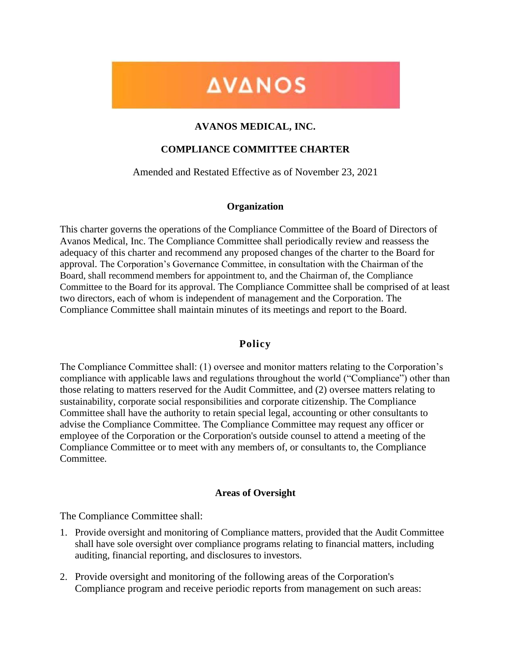# **AVANOS**

## **AVANOS MEDICAL, INC.**

### **COMPLIANCE COMMITTEE CHARTER**

Amended and Restated Effective as of November 23, 2021

#### **Organization**

This charter governs the operations of the Compliance Committee of the Board of Directors of Avanos Medical, Inc. The Compliance Committee shall periodically review and reassess the adequacy of this charter and recommend any proposed changes of the charter to the Board for approval. The Corporation's Governance Committee, in consultation with the Chairman of the Board, shall recommend members for appointment to, and the Chairman of, the Compliance Committee to the Board for its approval. The Compliance Committee shall be comprised of at least two directors, each of whom is independent of management and the Corporation. The Compliance Committee shall maintain minutes of its meetings and report to the Board.

## **Policy**

The Compliance Committee shall: (1) oversee and monitor matters relating to the Corporation's compliance with applicable laws and regulations throughout the world ("Compliance") other than those relating to matters reserved for the Audit Committee, and (2) oversee matters relating to sustainability, corporate social responsibilities and corporate citizenship. The Compliance Committee shall have the authority to retain special legal, accounting or other consultants to advise the Compliance Committee. The Compliance Committee may request any officer or employee of the Corporation or the Corporation's outside counsel to attend a meeting of the Compliance Committee or to meet with any members of, or consultants to, the Compliance Committee.

#### **Areas of Oversight**

The Compliance Committee shall:

- 1. Provide oversight and monitoring of Compliance matters, provided that the Audit Committee shall have sole oversight over compliance programs relating to financial matters, including auditing, financial reporting, and disclosures to investors.
- 2. Provide oversight and monitoring of the following areas of the Corporation's Compliance program and receive periodic reports from management on such areas: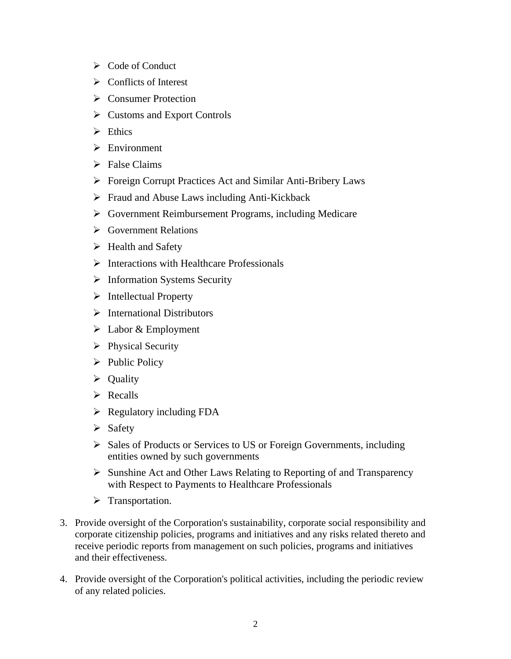- ➢ Code of Conduct
- ➢ Conflicts of Interest
- ➢ Consumer Protection
- $\triangleright$  Customs and Export Controls
- $\triangleright$  Ethics
- ➢ Environment
- ➢ False Claims
- ➢ Foreign Corrupt Practices Act and Similar Anti-Bribery Laws
- ➢ Fraud and Abuse Laws including Anti-Kickback
- ➢ Government Reimbursement Programs, including Medicare
- ➢ Government Relations
- ➢ Health and Safety
- ➢ Interactions with Healthcare Professionals
- ➢ Information Systems Security
- ➢ Intellectual Property
- ➢ International Distributors
- ➢ Labor & Employment
- ➢ Physical Security
- ➢ Public Policy
- ➢ Quality
- ➢ Recalls
- $\triangleright$  Regulatory including FDA
- ➢ Safety
- ➢ Sales of Products or Services to US or Foreign Governments, including entities owned by such governments
- ➢ Sunshine Act and Other Laws Relating to Reporting of and Transparency with Respect to Payments to Healthcare Professionals
- ➢ Transportation.
- 3. Provide oversight of the Corporation's sustainability, corporate social responsibility and corporate citizenship policies, programs and initiatives and any risks related thereto and receive periodic reports from management on such policies, programs and initiatives and their effectiveness.
- 4. Provide oversight of the Corporation's political activities, including the periodic review of any related policies.